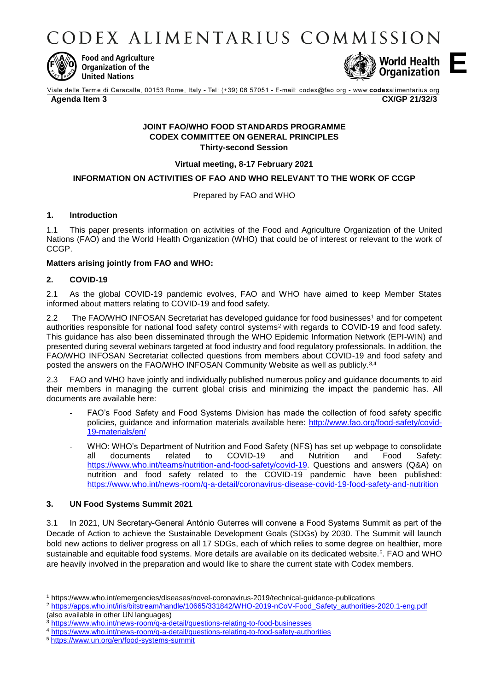CODEX ALIMENTARIUS COMMISSION



**Food and Agriculture** Organization of the **United Nations** 



**E**

Viale delle Terme di Caracalla, 00153 Rome, Italy - Tel: (+39) 06 57051 - E-mail: codex@fao.org - www.codexalimentarius.org **Agenda Item 3 CX/GP 21/32/3**

#### **JOINT FAO/WHO FOOD STANDARDS PROGRAMME CODEX COMMITTEE ON GENERAL PRINCIPLES Thirty-second Session**

**Virtual meeting, 8-17 February 2021**

## **INFORMATION ON ACTIVITIES OF FAO AND WHO RELEVANT TO THE WORK OF CCGP**

Prepared by FAO and WHO

## **1. Introduction**

1.1 This paper presents information on activities of the Food and Agriculture Organization of the United Nations (FAO) and the World Health Organization (WHO) that could be of interest or relevant to the work of CCGP.

### **Matters arising jointly from FAO and WHO:**

### **2. COVID-19**

2.1 As the global COVID-19 pandemic evolves, FAO and WHO have aimed to keep Member States informed about matters relating to COVID-19 and food safety.

2.2 The FAO/WHO INFOSAN Secretariat has developed quidance for food businesses<sup>1</sup> and for competent authorities responsible for national food safety control systems<sup>2</sup> with regards to COVID-19 and food safety. This guidance has also been disseminated through the WHO Epidemic Information Network (EPI-WIN) and presented during several webinars targeted at food industry and food regulatory professionals. In addition, the FAO/WHO INFOSAN Secretariat collected questions from members about COVID-19 and food safety and posted the answers on the FAO/WHO INFOSAN Community Website as well as publicly.3,4

2.3 FAO and WHO have jointly and individually published numerous policy and guidance documents to aid their members in managing the current global crisis and minimizing the impact the pandemic has. All documents are available here:

- FAO's Food Safety and Food Systems Division has made the collection of food safety specific policies, guidance and information materials available here: [http://www.fao.org/food-safety/covid-](http://www.fao.org/food-safety/covid-19-materials/en/)[19-materials/en/](http://www.fao.org/food-safety/covid-19-materials/en/)
- WHO: WHO's Department of Nutrition and Food Safety (NFS) has set up webpage to consolidate all documents related to COVID-19 and Nutrition and Food Safety: [https://www.who.int/teams/nutrition-and-food-safety/covid-19.](https://www.who.int/teams/nutrition-and-food-safety/covid-19) Questions and answers (Q&A) on nutrition and food safety related to the COVID-19 pandemic have been published: <https://www.who.int/news-room/q-a-detail/coronavirus-disease-covid-19-food-safety-and-nutrition>

### **3. UN Food Systems Summit 2021**

3.1 In 2021, UN Secretary-General António Guterres will convene a Food Systems Summit as part of the Decade of Action to achieve the Sustainable Development Goals (SDGs) by 2030. The Summit will launch bold new actions to deliver progress on all 17 SDGs, each of which relies to some degree on healthier, more sustainable and equitable food systems. More details are available on its dedicated website.<sup>5</sup>. FAO and WHO are heavily involved in the preparation and would like to share the current state with Codex members.

**.** 

<sup>1</sup> https://www.who.int/emergencies/diseases/novel-coronavirus-2019/technical-guidance-publications

<sup>2</sup> [https://apps.who.int/iris/bitstream/handle/10665/331842/WHO-2019-nCoV-Food\\_Safety\\_authorities-2020.1-eng.pdf](https://apps.who.int/iris/bitstream/handle/10665/331842/WHO-2019-nCoV-Food_Safety_authorities-2020.1-eng.pdf) (also available in other UN languages)

<https://www.who.int/news-room/q-a-detail/questions-relating-to-food-businesses>

<sup>4</sup> <https://www.who.int/news-room/q-a-detail/questions-relating-to-food-safety-authorities>

<sup>5</sup> <https://www.un.org/en/food-systems-summit>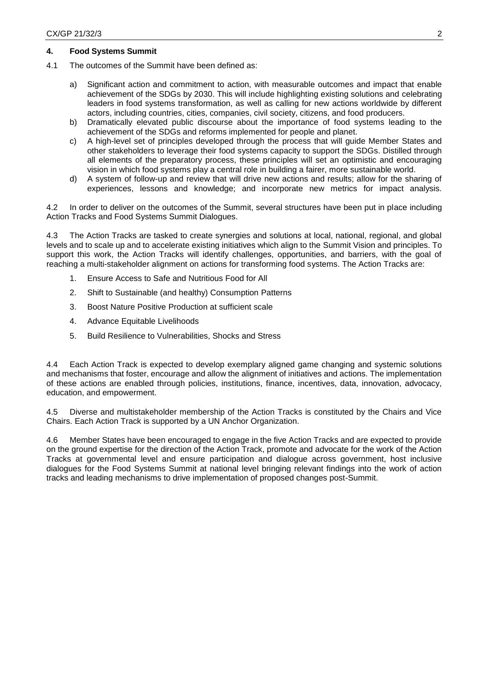### **4. Food Systems Summit**

- 4.1 The outcomes of the Summit have been defined as:
	- a) Significant action and commitment to action, with measurable outcomes and impact that enable achievement of the SDGs by 2030. This will include highlighting existing solutions and celebrating leaders in food systems transformation, as well as calling for new actions worldwide by different actors, including countries, cities, companies, civil society, citizens, and food producers.
	- b) Dramatically elevated public discourse about the importance of food systems leading to the achievement of the SDGs and reforms implemented for people and planet.
	- c) A high-level set of principles developed through the process that will guide Member States and other stakeholders to leverage their food systems capacity to support the SDGs. Distilled through all elements of the preparatory process, these principles will set an optimistic and encouraging vision in which food systems play a central role in building a fairer, more sustainable world.
	- d) A system of follow-up and review that will drive new actions and results; allow for the sharing of experiences, lessons and knowledge; and incorporate new metrics for impact analysis.

4.2 In order to deliver on the outcomes of the Summit, several structures have been put in place including Action Tracks and Food Systems Summit Dialogues.

4.3 The Action Tracks are tasked to create synergies and solutions at local, national, regional, and global levels and to scale up and to accelerate existing initiatives which align to the Summit Vision and principles. To support this work, the Action Tracks will identify challenges, opportunities, and barriers, with the goal of reaching a multi-stakeholder alignment on actions for transforming food systems. The Action Tracks are:

- 1. Ensure Access to Safe and Nutritious Food for All
- 2. Shift to Sustainable (and healthy) Consumption Patterns
- 3. Boost Nature Positive Production at sufficient scale
- 4. Advance Equitable Livelihoods
- 5. Build Resilience to Vulnerabilities, Shocks and Stress

4.4 Each Action Track is expected to develop exemplary aligned game changing and systemic solutions and mechanisms that foster, encourage and allow the alignment of initiatives and actions. The implementation of these actions are enabled through policies, institutions, finance, incentives, data, innovation, advocacy, education, and empowerment.

4.5 Diverse and multistakeholder membership of the Action Tracks is constituted by the Chairs and Vice Chairs. Each Action Track is supported by a UN Anchor Organization.

4.6 Member States have been encouraged to engage in the five Action Tracks and are expected to provide on the ground expertise for the direction of the Action Track, promote and advocate for the work of the Action Tracks at governmental level and ensure participation and dialogue across government, host inclusive dialogues for the Food Systems Summit at national level bringing relevant findings into the work of action tracks and leading mechanisms to drive implementation of proposed changes post-Summit.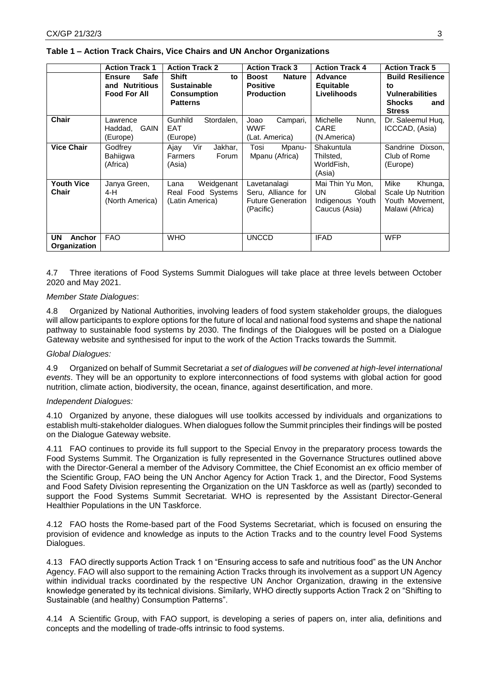|                                                   | <b>Action Track 1</b>                                                 | <b>Action Track 2</b>                                                             | <b>Action Track 3</b>                                                       | <b>Action Track 4</b>                                                  | <b>Action Track 5</b>                                                                            |
|---------------------------------------------------|-----------------------------------------------------------------------|-----------------------------------------------------------------------------------|-----------------------------------------------------------------------------|------------------------------------------------------------------------|--------------------------------------------------------------------------------------------------|
|                                                   | <b>Safe</b><br><b>Ensure</b><br>and Nutritious<br><b>Food For All</b> | <b>Shift</b><br>to<br><b>Sustainable</b><br><b>Consumption</b><br><b>Patterns</b> | <b>Boost</b><br><b>Nature</b><br><b>Positive</b><br><b>Production</b>       | <b>Advance</b><br><b>Equitable</b><br>Livelihoods                      | <b>Build Resilience</b><br>to<br><b>Vulnerabilities</b><br><b>Shocks</b><br>and<br><b>Stress</b> |
| <b>Chair</b>                                      | Lawrence<br><b>GAIN</b><br>Haddad,<br>(Europe)                        | <b>Gunhild</b><br>Stordalen,<br><b>EAT</b><br>(Europe)                            | Joao<br>Campari,<br><b>WWF</b><br>(Lat. America)                            | <b>Michelle</b><br>Nunn.<br>CARE<br>(N.America)                        | Dr. Saleemul Hug,<br>ICCCAD, (Asia)                                                              |
| <b>Vice Chair</b>                                 | Godfrey<br>Bahiigwa<br>(Africa)                                       | Ajay<br>Vir<br>Jakhar,<br>Farmers<br>Forum<br>(Asia)                              | Tosi<br>Mpanu-<br>Mpanu (Africa)                                            | Shakuntula<br>Thilsted,<br>WorldFish,<br>(Asia)                        | Sandrine<br>Dixson.<br>Club of Rome<br>(Europe)                                                  |
| <b>Youth Vice</b><br>Chair                        | Janya Green,<br>4-H<br>(North America)                                | Weidgenant<br>Lana<br>Real Food Systems<br>(Latin America)                        | Lavetanalagi<br>Seru, Alliance for<br><b>Future Generation</b><br>(Pacific) | Mai Thin Yu Mon,<br>Global<br>UN.<br>Indigenous Youth<br>Caucus (Asia) | Mike<br>Khunga,<br>Scale Up Nutrition<br>Youth Movement,<br>Malawi (Africa)                      |
| <b>UN</b><br><b>Anchor</b><br><b>Organization</b> | <b>FAO</b>                                                            | WHO                                                                               | <b>UNCCD</b>                                                                | <b>IFAD</b>                                                            | <b>WFP</b>                                                                                       |

#### **Table 1 – Action Track Chairs, Vice Chairs and UN Anchor Organizations**

4.7 Three iterations of Food Systems Summit Dialogues will take place at three levels between October 2020 and May 2021.

#### *Member State Dialogues*:

4.8 Organized by National Authorities, involving leaders of food system stakeholder groups, the dialogues will allow participants to explore options for the future of local and national food systems and shape the national pathway to sustainable food systems by 2030. The findings of the Dialogues will be posted on a Dialogue Gateway website and synthesised for input to the work of the Action Tracks towards the Summit.

#### *Global Dialogues:*

4.9 Organized on behalf of Summit Secretariat *a set of dialogues will be convened at high-level international events*. They will be an opportunity to explore interconnections of food systems with global action for good nutrition, climate action, biodiversity, the ocean, finance, against desertification, and more.

#### *Independent Dialogues:*

4.10 Organized by anyone, these dialogues will use toolkits accessed by individuals and organizations to establish multi-stakeholder dialogues. When dialogues follow the Summit principles their findings will be posted on the Dialogue Gateway website.

4.11 FAO continues to provide its full support to the Special Envoy in the preparatory process towards the Food Systems Summit. The Organization is fully represented in the Governance Structures outlined above with the Director-General a member of the Advisory Committee, the Chief Economist an ex officio member of the Scientific Group, FAO being the UN Anchor Agency for Action Track 1, and the Director, Food Systems and Food Safety Division representing the Organization on the UN Taskforce as well as (partly) seconded to support the Food Systems Summit Secretariat. WHO is represented by the Assistant Director-General Healthier Populations in the UN Taskforce.

4.12 FAO hosts the Rome-based part of the Food Systems Secretariat, which is focused on ensuring the provision of evidence and knowledge as inputs to the Action Tracks and to the country level Food Systems Dialogues.

4.13 FAO directly supports Action Track 1 on "Ensuring access to safe and nutritious food" as the UN Anchor Agency. FAO will also support to the remaining Action Tracks through its involvement as a support UN Agency within individual tracks coordinated by the respective UN Anchor Organization, drawing in the extensive knowledge generated by its technical divisions. Similarly, WHO directly supports Action Track 2 on "Shifting to Sustainable (and healthy) Consumption Patterns".

4.14 A Scientific Group, with FAO support, is developing a series of papers on, inter alia, definitions and concepts and the modelling of trade-offs intrinsic to food systems.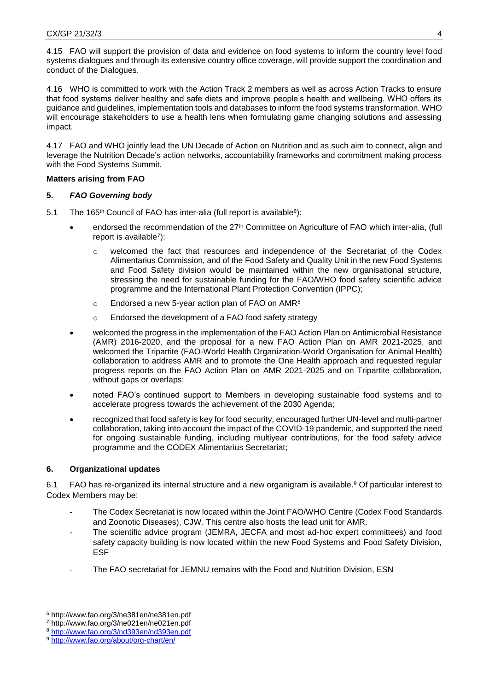4.15 FAO will support the provision of data and evidence on food systems to inform the country level food systems dialogues and through its extensive country office coverage, will provide support the coordination and conduct of the Dialogues.

4.16 WHO is committed to work with the Action Track 2 members as well as across Action Tracks to ensure that food systems deliver healthy and safe diets and improve people's health and wellbeing. WHO offers its guidance and guidelines, implementation tools and databases to inform the food systems transformation. WHO will encourage stakeholders to use a health lens when formulating game changing solutions and assessing impact.

4.17 FAO and WHO jointly lead the UN Decade of Action on Nutrition and as such aim to connect, align and leverage the Nutrition Decade's action networks, accountability frameworks and commitment making process with the Food Systems Summit.

### **Matters arising from FAO**

### **5.** *FAO Governing body*

- 5.1 The 165<sup>th</sup> Council of FAO has inter-alia (full report is available<sup>6</sup>):
	- endorsed the recommendation of the 27<sup>th</sup> Committee on Agriculture of FAO which inter-alia, (full report is available<sup>7</sup> ):
		- o welcomed the fact that resources and independence of the Secretariat of the Codex Alimentarius Commission, and of the Food Safety and Quality Unit in the new Food Systems and Food Safety division would be maintained within the new organisational structure, stressing the need for sustainable funding for the FAO/WHO food safety scientific advice programme and the International Plant Protection Convention (IPPC);
		- $\circ$  Endorsed a new 5-year action plan of FAO on AMR<sup>8</sup>
		- o Endorsed the development of a FAO food safety strategy
	- welcomed the progress in the implementation of the FAO Action Plan on Antimicrobial Resistance (AMR) 2016-2020, and the proposal for a new FAO Action Plan on AMR 2021-2025, and welcomed the Tripartite (FAO-World Health Organization-World Organisation for Animal Health) collaboration to address AMR and to promote the One Health approach and requested regular progress reports on the FAO Action Plan on AMR 2021-2025 and on Tripartite collaboration, without gaps or overlaps;
	- noted FAO's continued support to Members in developing sustainable food systems and to accelerate progress towards the achievement of the 2030 Agenda;
	- recognized that food safety is key for food security, encouraged further UN-level and multi-partner collaboration, taking into account the impact of the COVID-19 pandemic, and supported the need for ongoing sustainable funding, including multiyear contributions, for the food safety advice programme and the CODEX Alimentarius Secretariat;

## **6. Organizational updates**

6.1 FAO has re-organized its internal structure and a new organigram is available.<sup>9</sup> Of particular interest to Codex Members may be:

- The Codex Secretariat is now located within the Joint FAO/WHO Centre (Codex Food Standards and Zoonotic Diseases), CJW. This centre also hosts the lead unit for AMR.
- The scientific advice program (JEMRA, JECFA and most ad-hoc expert committees) and food safety capacity building is now located within the new Food Systems and Food Safety Division, ESF
- The FAO secretariat for JEMNU remains with the Food and Nutrition Division, ESN

**.** 

<sup>6</sup> http://www.fao.org/3/ne381en/ne381en.pdf

<sup>7</sup> http://www.fao.org/3/ne021en/ne021en.pdf

<sup>8</sup> <http://www.fao.org/3/nd393en/nd393en.pdf>

<sup>9</sup> <http://www.fao.org/about/org-chart/en/>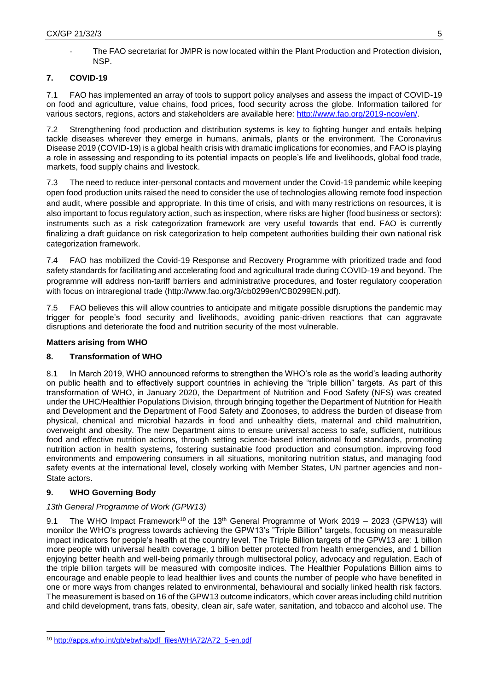The FAO secretariat for JMPR is now located within the Plant Production and Protection division, NSP.

# **7. COVID-19**

7.1 FAO has implemented an array of tools to support policy analyses and assess the impact of COVID-19 on food and agriculture, value chains, food prices, food security across the globe. Information tailored for various sectors, regions, actors and stakeholders are available here: [http://www.fao.org/2019-ncov/en/.](http://www.fao.org/2019-ncov/en/)

7.2 Strengthening food production and distribution systems is key to fighting hunger and entails helping tackle diseases wherever they emerge in humans, animals, plants or the environment. The Coronavirus Disease 2019 (COVID-19) is a global health crisis with dramatic implications for economies, and FAO is playing a role in assessing and responding to its potential impacts on people's life and livelihoods, global food trade, markets, food supply chains and livestock.

7.3 The need to reduce inter-personal contacts and movement under the Covid-19 pandemic while keeping open food production units raised the need to consider the use of technologies allowing remote food inspection and audit, where possible and appropriate. In this time of crisis, and with many restrictions on resources, it is also important to focus regulatory action, such as inspection, where risks are higher (food business or sectors): instruments such as a risk categorization framework are very useful towards that end. FAO is currently finalizing a draft guidance on risk categorization to help competent authorities building their own national risk categorization framework.

7.4 FAO has mobilized the Covid-19 Response and Recovery Programme with prioritized trade and food safety standards for facilitating and accelerating food and agricultural trade during COVID-19 and beyond. The programme will address non-tariff barriers and administrative procedures, and foster regulatory cooperation with focus on intraregional trade (http://www.fao.org/3/cb0299en/CB0299EN.pdf).

7.5 FAO believes this will allow countries to anticipate and mitigate possible disruptions the pandemic may trigger for people's food security and livelihoods, avoiding panic-driven reactions that can aggravate disruptions and deteriorate the food and nutrition security of the most vulnerable.

## **Matters arising from WHO**

# **8. Transformation of WHO**

8.1 In March 2019, WHO announced reforms to strengthen the WHO's role as the world's leading authority on public health and to effectively support countries in achieving the "triple billion" targets. As part of this transformation of WHO, in January 2020, the Department of Nutrition and Food Safety (NFS) was created under the UHC/Healthier Populations Division, through bringing together the Department of Nutrition for Health and Development and the Department of Food Safety and Zoonoses, to address the burden of disease from physical, chemical and microbial hazards in food and unhealthy diets, maternal and child malnutrition, overweight and obesity. The new Department aims to ensure universal access to safe, sufficient, nutritious food and effective nutrition actions, through setting science-based international food standards, promoting nutrition action in health systems, fostering sustainable food production and consumption, improving food environments and empowering consumers in all situations, monitoring nutrition status, and managing food safety events at the international level, closely working with Member States, UN partner agencies and non-State actors.

# **9. WHO Governing Body**

# *13th General Programme of Work (GPW13)*

9.1 The WHO Impact Framework<sup>10</sup> of the 13<sup>th</sup> General Programme of Work 2019 – 2023 (GPW13) will monitor the WHO's progress towards achieving the GPW13's "Triple Billion" targets, focusing on measurable impact indicators for people's health at the country level. The Triple Billion targets of the GPW13 are: 1 billion more people with universal health coverage, 1 billion better protected from health emergencies, and 1 billion enjoying better health and well-being primarily through multisectoral policy, advocacy and regulation. Each of the triple billion targets will be measured with composite indices. The Healthier Populations Billion aims to encourage and enable people to lead healthier lives and counts the number of people who have benefited in one or more ways from changes related to environmental, behavioural and socially linked health risk factors. The measurement is based on 16 of the GPW13 outcome indicators, which cover areas including child nutrition and child development, trans fats, obesity, clean air, safe water, sanitation, and tobacco and alcohol use. The

**<sup>.</sup>** <sup>10</sup> [http://apps.who.int/gb/ebwha/pdf\\_files/WHA72/A72\\_5-en.pdf](http://apps.who.int/gb/ebwha/pdf_files/WHA72/A72_5-en.pdf)